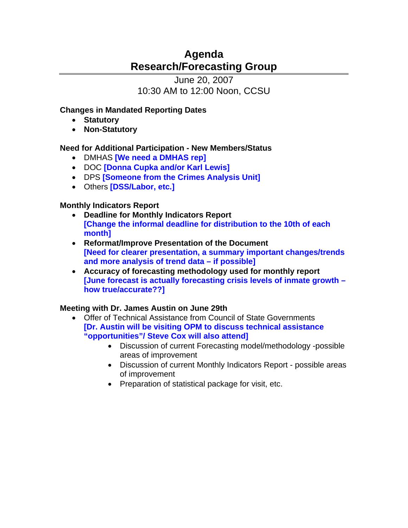# **Agenda Research/Forecasting Group**

June 20, 2007 10:30 AM to 12:00 Noon, CCSU

## **Changes in Mandated Reporting Dates**

- **Statutory**
- **Non-Statutory**

# **Need for Additional Participation - New Members/Status**

- DMHAS **[We need a DMHAS rep]**
- DOC **[Donna Cupka and/or Karl Lewis]**
- DPS **[Someone from the Crimes Analysis Unit]**
- Others **[DSS/Labor, etc.]**

# **Monthly Indicators Report**

- **Deadline for Monthly Indicators Report [Change the informal deadline for distribution to the 10th of each month]**
- **Reformat/Improve Presentation of the Document [Need for clearer presentation, a summary important changes/trends and more analysis of trend data – if possible]**
- **Accuracy of forecasting methodology used for monthly report [June forecast is actually forecasting crisis levels of inmate growth – how true/accurate??]**

# **Meeting with Dr. James Austin on June 29th**

- Offer of Technical Assistance from Council of State Governments **[Dr. Austin will be visiting OPM to discuss technical assistance "opportunities"/ Steve Cox will also attend]**
	- Discussion of current Forecasting model/methodology -possible areas of improvement
	- Discussion of current Monthly Indicators Report possible areas of improvement
	- Preparation of statistical package for visit, etc.